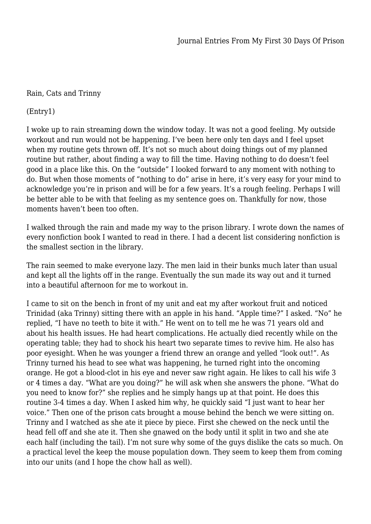## Rain, Cats and Trinny

(Entry1)

I woke up to rain streaming down the window today. It was not a good feeling. My outside workout and run would not be happening. I've been here only ten days and I feel upset when my routine gets thrown off. It's not so much about doing things out of my planned routine but rather, about finding a way to fill the time. Having nothing to do doesn't feel good in a place like this. On the "outside" I looked forward to any moment with nothing to do. But when those moments of "nothing to do" arise in here, it's very easy for your mind to acknowledge you're in prison and will be for a few years. It's a rough feeling. Perhaps I will be better able to be with that feeling as my sentence goes on. Thankfully for now, those moments haven't been too often.

I walked through the rain and made my way to the prison library. I wrote down the names of every nonfiction book I wanted to read in there. I had a decent list considering nonfiction is the smallest section in the library.

The rain seemed to make everyone lazy. The men laid in their bunks much later than usual and kept all the lights off in the range. Eventually the sun made its way out and it turned into a beautiful afternoon for me to workout in.

I came to sit on the bench in front of my unit and eat my after workout fruit and noticed Trinidad (aka Trinny) sitting there with an apple in his hand. "Apple time?" I asked. "No" he replied, "I have no teeth to bite it with." He went on to tell me he was 71 years old and about his health issues. He had heart complications. He actually died recently while on the operating table; they had to shock his heart two separate times to revive him. He also has poor eyesight. When he was younger a friend threw an orange and yelled "look out!". As Trinny turned his head to see what was happening, he turned right into the oncoming orange. He got a blood-clot in his eye and never saw right again. He likes to call his wife 3 or 4 times a day. "What are you doing?" he will ask when she answers the phone. "What do you need to know for?" she replies and he simply hangs up at that point. He does this routine 3-4 times a day. When I asked him why, he quickly said "I just want to hear her voice." Then one of the prison cats brought a mouse behind the bench we were sitting on. Trinny and I watched as she ate it piece by piece. First she chewed on the neck until the head fell off and she ate it. Then she gnawed on the body until it split in two and she ate each half (including the tail). I'm not sure why some of the guys dislike the cats so much. On a practical level the keep the mouse population down. They seem to keep them from coming into our units (and I hope the chow hall as well).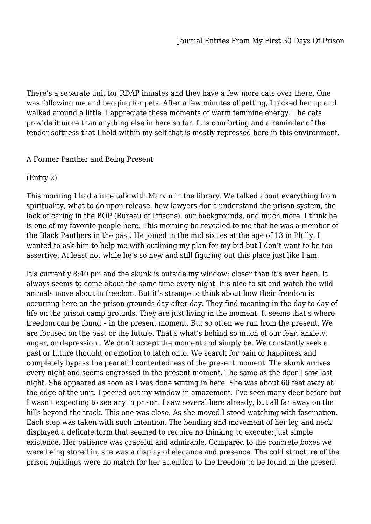There's a separate unit for RDAP inmates and they have a few more cats over there. One was following me and begging for pets. After a few minutes of petting, I picked her up and walked around a little. I appreciate these moments of warm feminine energy. The cats provide it more than anything else in here so far. It is comforting and a reminder of the tender softness that I hold within my self that is mostly repressed here in this environment.

## A Former Panther and Being Present

(Entry 2)

This morning I had a nice talk with Marvin in the library. We talked about everything from spirituality, what to do upon release, how lawyers don't understand the prison system, the lack of caring in the BOP (Bureau of Prisons), our backgrounds, and much more. I think he is one of my favorite people here. This morning he revealed to me that he was a member of the Black Panthers in the past. He joined in the mid sixties at the age of 13 in Philly. I wanted to ask him to help me with outlining my plan for my bid but I don't want to be too assertive. At least not while he's so new and still figuring out this place just like I am.

It's currently 8:40 pm and the skunk is outside my window; closer than it's ever been. It always seems to come about the same time every night. It's nice to sit and watch the wild animals move about in freedom. But it's strange to think about how their freedom is occurring here on the prison grounds day after day. They find meaning in the day to day of life on the prison camp grounds. They are just living in the moment. It seems that's where freedom can be found – in the present moment. But so often we run from the present. We are focused on the past or the future. That's what's behind so much of our fear, anxiety, anger, or depression . We don't accept the moment and simply be. We constantly seek a past or future thought or emotion to latch onto. We search for pain or happiness and completely bypass the peaceful contentedness of the present moment. The skunk arrives every night and seems engrossed in the present moment. The same as the deer I saw last night. She appeared as soon as I was done writing in here. She was about 60 feet away at the edge of the unit. I peered out my window in amazement. I've seen many deer before but I wasn't expecting to see any in prison. I saw several here already, but all far away on the hills beyond the track. This one was close. As she moved I stood watching with fascination. Each step was taken with such intention. The bending and movement of her leg and neck displayed a delicate form that seemed to require no thinking to execute; just simple existence. Her patience was graceful and admirable. Compared to the concrete boxes we were being stored in, she was a display of elegance and presence. The cold structure of the prison buildings were no match for her attention to the freedom to be found in the present